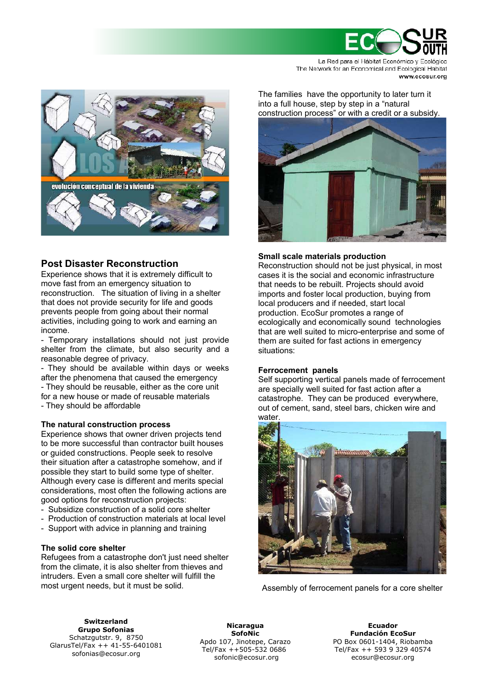

La Red para el Hábitat Económico y Ecológico The Network for an Economical and Ecological Habitat www.ecosur.org



# **Post Disaster Reconstruction**

Experience shows that it is extremely difficult to move fast from an emergency situation to reconstruction. The situation of living in a shelter that does not provide security for life and goods prevents people from going about their normal activities, including going to work and earning an income.

- Temporary installations should not just provide shelter from the climate, but also security and a reasonable degree of privacy.

- They should be available within days or weeks after the phenomena that caused the emergency

- They should be reusable, either as the core unit for a new house or made of reusable materials - They should be affordable

## **The natural construction process**

Experience shows that owner driven projects tend to be more successful than contractor built houses or guided constructions. People seek to resolve their situation after a catastrophe somehow, and if possible they start to build some type of shelter. Although every case is different and merits special considerations, most often the following actions are good options for reconstruction projects:

- Subsidize construction of a solid core shelter
- Production of construction materials at local level
- Support with advice in planning and training

## **The solid core shelter**

Refugees from a catastrophe don't just need shelter from the climate, it is also shelter from thieves and intruders. Even a small core shelter will fulfill the most urgent needs, but it must be solid.

The families have the opportunity to later turn it into a full house, step by step in a "natural construction process" or with a credit or a subsidy.



## **Small scale materials production**

Reconstruction should not be just physical, in most cases it is the social and economic infrastructure that needs to be rebuilt. Projects should avoid imports and foster local production, buying from local producers and if needed, start local production. EcoSur promotes a range of ecologically and economically sound technologies that are well suited to micro-enterprise and some of them are suited for fast actions in emergency situations:

## **Ferrocement panels**

Self supporting vertical panels made of ferrocement are specially well suited for fast action after a catastrophe. They can be produced everywhere, out of cement, sand, steel bars, chicken wire and



Assembly of ferrocement panels for a core shelter

**Switzerland Grupo Sofonias** Schatzgutstr. 9, 8750 GlarusTel/Fax ++ 41-55-6401081 sofonias@ecosur.org

**Nicaragua SofoNic** Apdo 107, Jinotepe, Carazo Tel/Fax ++505-532 0686 sofonic@ecosur.org

**Ecuador Fundación EcoSur** PO Box 0601-1404, Riobamba Tel/Fax ++ 593 9 329 40574 ecosur@ecosur.org